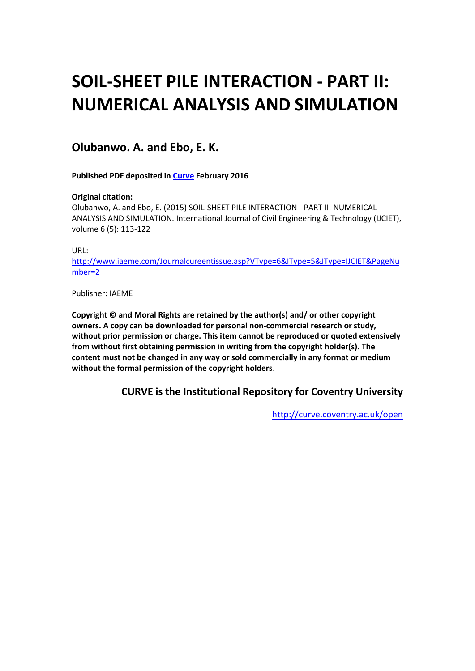# **SOIL-SHEET PILE INTERACTION - PART II: NUMERICAL ANALYSIS AND SIMULATION**

## **Olubanwo. A. and Ebo, E. K.**

**Published PDF deposited in [Curve](http://curve.coventry.ac.uk/open) February 2016**

#### **Original citation:**

Olubanwo, A. and Ebo, E. (2015) SOIL-SHEET PILE INTERACTION - PART II: NUMERICAL ANALYSIS AND SIMULATION. International Journal of Civil Engineering & Technology (IJCIET), volume 6 (5): 113-122

URL:

[http://www.iaeme.com/Journalcureentissue.asp?VType=6&IType=5&JType=IJCIET&PageNu](http://www.iaeme.com/Journalcureentissue.asp?VType=6&IType=5&JType=IJCIET&PageNumber=2) [mber=2](http://www.iaeme.com/Journalcureentissue.asp?VType=6&IType=5&JType=IJCIET&PageNumber=2)

Publisher: IAEME

**Copyright © and Moral Rights are retained by the author(s) and/ or other copyright owners. A copy can be downloaded for personal non-commercial research or study, without prior permission or charge. This item cannot be reproduced or quoted extensively from without first obtaining permission in writing from the copyright holder(s). The content must not be changed in any way or sold commercially in any format or medium without the formal permission of the copyright holders**.

**CURVE is the Institutional Repository for Coventry University**

<http://curve.coventry.ac.uk/open>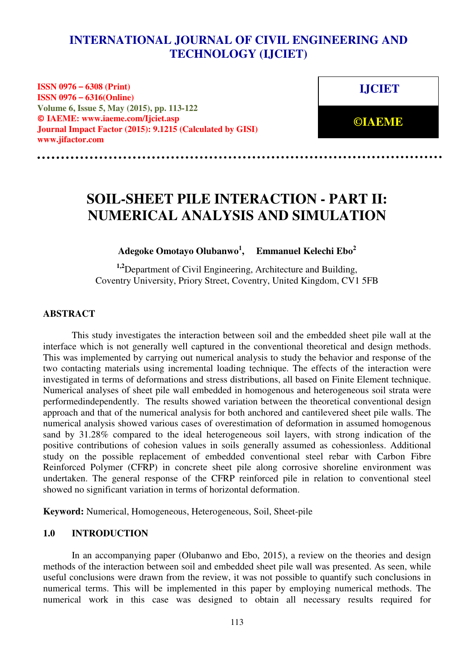## **INTERNATIONAL JOURNAL OF CIVIL ENGINEERING AND ISSUE 6, ISSUE 6, ISSUE 6, ISSUE 6, ISSUE 6, ISSUE 6, ISSUE 6, ISSUE 6, ISSUE 6, ISSUE 6, ISSUE 6, ISSUE 6, ISSUE 6, ISSUE 6, ISSUE 6, ISSUE 6, ISSUE 6, ISSUE 6, ISSUE 6, ISSUE 6, ISSUE 6, ISSUE 6, ISSUE 6, ISSUE 6, ISSUE**

**ISSN 0976 – 6308 (Print) ISSN 0976 – 6316(Online) Volume 6, Issue 5, May (2015), pp. 113-122 © IAEME: www.iaeme.com/Ijciet.asp Journal Impact Factor (2015): 9.1215 (Calculated by GISI) www.jifactor.com** 

**IJCIET** 

**©IAEME** 

# **SOIL-SHEET PILE INTERACTION - PART II: NUMERICAL ANALYSIS AND SIMULATION**

**Adegoke Omotayo Olubanwo<sup>1</sup> , Emmanuel Kelechi Ebo<sup>2</sup>**

**1,2**Department of Civil Engineering, Architecture and Building, Coventry University, Priory Street, Coventry, United Kingdom, CV1 5FB

#### **ABSTRACT**

This study investigates the interaction between soil and the embedded sheet pile wall at the interface which is not generally well captured in the conventional theoretical and design methods. This was implemented by carrying out numerical analysis to study the behavior and response of the two contacting materials using incremental loading technique. The effects of the interaction were investigated in terms of deformations and stress distributions, all based on Finite Element technique. Numerical analyses of sheet pile wall embedded in homogenous and heterogeneous soil strata were performedindependently. The results showed variation between the theoretical conventional design approach and that of the numerical analysis for both anchored and cantilevered sheet pile walls. The numerical analysis showed various cases of overestimation of deformation in assumed homogenous sand by 31.28% compared to the ideal heterogeneous soil layers, with strong indication of the positive contributions of cohesion values in soils generally assumed as cohessionless. Additional study on the possible replacement of embedded conventional steel rebar with Carbon Fibre Reinforced Polymer (CFRP) in concrete sheet pile along corrosive shoreline environment was undertaken. The general response of the CFRP reinforced pile in relation to conventional steel showed no significant variation in terms of horizontal deformation.

**Keyword:** Numerical, Homogeneous, Heterogeneous, Soil, Sheet-pile

#### **1.0 INTRODUCTION**

In an accompanying paper (Olubanwo and Ebo, 2015), a review on the theories and design methods of the interaction between soil and embedded sheet pile wall was presented. As seen, while useful conclusions were drawn from the review, it was not possible to quantify such conclusions in numerical terms. This will be implemented in this paper by employing numerical methods. The numerical work in this case was designed to obtain all necessary results required for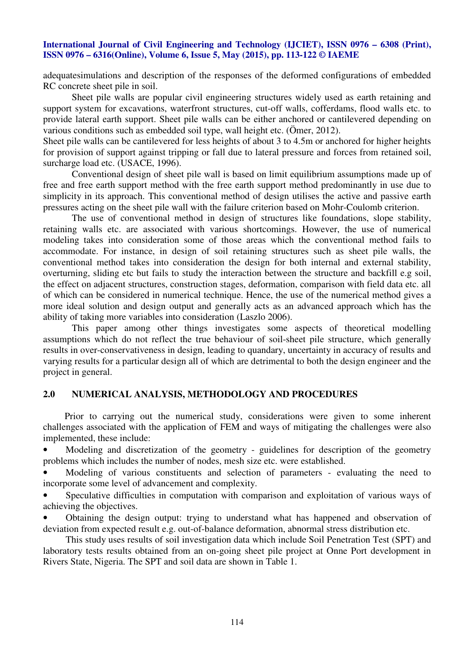adequatesimulations and description of the responses of the deformed configurations of embedded RC concrete sheet pile in soil.

Sheet pile walls are popular civil engineering structures widely used as earth retaining and support system for excavations, waterfront structures, cut-off walls, cofferdams, flood walls etc. to provide lateral earth support. Sheet pile walls can be either anchored or cantilevered depending on various conditions such as embedded soil type, wall height etc. (Ömer, 2012).

Sheet pile walls can be cantilevered for less heights of about 3 to 4.5m or anchored for higher heights for provision of support against tripping or fall due to lateral pressure and forces from retained soil, surcharge load etc. (USACE, 1996).

Conventional design of sheet pile wall is based on limit equilibrium assumptions made up of free and free earth support method with the free earth support method predominantly in use due to simplicity in its approach. This conventional method of design utilises the active and passive earth pressures acting on the sheet pile wall with the failure criterion based on Mohr-Coulomb criterion.

The use of conventional method in design of structures like foundations, slope stability, retaining walls etc. are associated with various shortcomings. However, the use of numerical modeling takes into consideration some of those areas which the conventional method fails to accommodate. For instance, in design of soil retaining structures such as sheet pile walls, the conventional method takes into consideration the design for both internal and external stability, overturning, sliding etc but fails to study the interaction between the structure and backfill e.g soil, the effect on adjacent structures, construction stages, deformation, comparison with field data etc. all of which can be considered in numerical technique. Hence, the use of the numerical method gives a more ideal solution and design output and generally acts as an advanced approach which has the ability of taking more variables into consideration (Laszlo 2006).

This paper among other things investigates some aspects of theoretical modelling assumptions which do not reflect the true behaviour of soil-sheet pile structure, which generally results in over-conservativeness in design, leading to quandary, uncertainty in accuracy of results and varying results for a particular design all of which are detrimental to both the design engineer and the project in general.

#### **2.0 NUMERICAL ANALYSIS, METHODOLOGY AND PROCEDURES**

 Prior to carrying out the numerical study, considerations were given to some inherent challenges associated with the application of FEM and ways of mitigating the challenges were also implemented, these include:

• Modeling and discretization of the geometry - guidelines for description of the geometry problems which includes the number of nodes, mesh size etc. were established.

Modeling of various constituents and selection of parameters - evaluating the need to incorporate some level of advancement and complexity.

Speculative difficulties in computation with comparison and exploitation of various ways of achieving the objectives.

• Obtaining the design output: trying to understand what has happened and observation of deviation from expected result e.g. out-of-balance deformation, abnormal stress distribution etc.

 This study uses results of soil investigation data which include Soil Penetration Test (SPT) and laboratory tests results obtained from an on-going sheet pile project at Onne Port development in Rivers State, Nigeria. The SPT and soil data are shown in Table 1.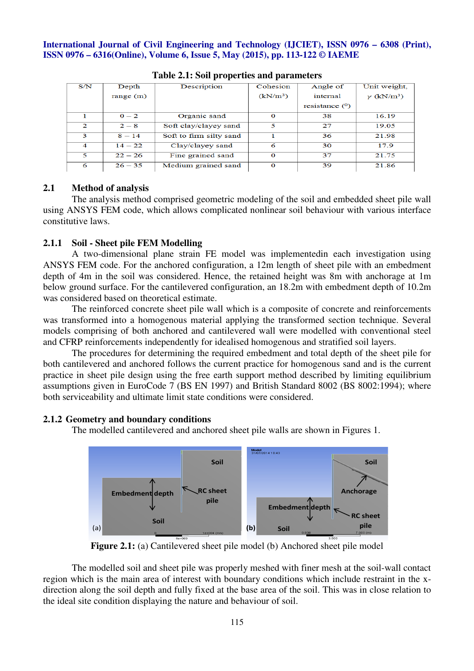| S/N              | Depth       | Description             | Cohesion    | Angle of         | Unit weight,                  |  |  |  |
|------------------|-------------|-------------------------|-------------|------------------|-------------------------------|--|--|--|
|                  | range $(m)$ |                         | $(kN/m^3)$  | internal         | $\gamma$ (kN/m <sup>3</sup> ) |  |  |  |
|                  |             |                         |             | resistance $(0)$ |                               |  |  |  |
|                  | $0 - 2$     | Organic sand            | $\Omega$    | 38               | 16.19                         |  |  |  |
| $\mathcal{D}$    | $2 - 8$     | Soft clay/clayey sand   | 5           | 27               | 19.05                         |  |  |  |
| 3                | $8 - 14$    | Soft to firm silty sand |             | 36               | 21.98                         |  |  |  |
| $\boldsymbol{4}$ | $14 - 22$   | Clay/clayey sand        | 6           | 30               | 17.9                          |  |  |  |
| 5                | $22 - 26$   | Fine grained sand       | $\mathbf 0$ | 37               | 21.75                         |  |  |  |
| 6                | $26 - 35$   | Medium grained sand     | $\Omega$    | 39               | 21.86                         |  |  |  |

**Table 2.1: Soil properties and parameters** 

#### **2.1 Method of analysis**

The analysis method comprised geometric modeling of the soil and embedded sheet pile wall using ANSYS FEM code, which allows complicated nonlinear soil behaviour with various interface constitutive laws.

#### **2.1.1 Soil - Sheet pile FEM Modelling**

A two-dimensional plane strain FE model was implementedin each investigation using ANSYS FEM code. For the anchored configuration, a 12m length of sheet pile with an embedment depth of 4m in the soil was considered. Hence, the retained height was 8m with anchorage at 1m below ground surface. For the cantilevered configuration, an 18.2m with embedment depth of 10.2m was considered based on theoretical estimate.

The reinforced concrete sheet pile wall which is a composite of concrete and reinforcements was transformed into a homogenous material applying the transformed section technique. Several models comprising of both anchored and cantilevered wall were modelled with conventional steel and CFRP reinforcements independently for idealised homogenous and stratified soil layers.

The procedures for determining the required embedment and total depth of the sheet pile for both cantilevered and anchored follows the current practice for homogenous sand and is the current practice in sheet pile design using the free earth support method described by limiting equilibrium assumptions given in EuroCode 7 (BS EN 1997) and British Standard 8002 (BS 8002:1994); where both serviceability and ultimate limit state conditions were considered.

#### **2.1.2 Geometry and boundary conditions**

The modelled cantilevered and anchored sheet pile walls are shown in Figures 1.



**Figure 2.1:** (a) Cantilevered sheet pile model (b) Anchored sheet pile model

The modelled soil and sheet pile was properly meshed with finer mesh at the soil-wall contact region which is the main area of interest with boundary conditions which include restraint in the xdirection along the soil depth and fully fixed at the base area of the soil. This was in close relation to the ideal site condition displaying the nature and behaviour of soil.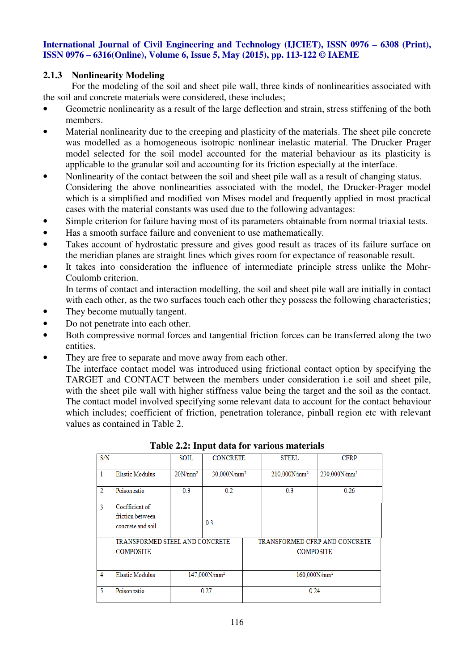#### **2.1.3 Nonlinearity Modeling**

For the modeling of the soil and sheet pile wall, three kinds of nonlinearities associated with the soil and concrete materials were considered, these includes;

- Geometric nonlinearity as a result of the large deflection and strain, stress stiffening of the both members.
- Material nonlinearity due to the creeping and plasticity of the materials. The sheet pile concrete was modelled as a homogeneous isotropic nonlinear inelastic material. The Drucker Prager model selected for the soil model accounted for the material behaviour as its plasticity is applicable to the granular soil and accounting for its friction especially at the interface.
- Nonlinearity of the contact between the soil and sheet pile wall as a result of changing status. Considering the above nonlinearities associated with the model, the Drucker-Prager model which is a simplified and modified von Mises model and frequently applied in most practical cases with the material constants was used due to the following advantages:
- Simple criterion for failure having most of its parameters obtainable from normal triaxial tests.
- Has a smooth surface failure and convenient to use mathematically.
- Takes account of hydrostatic pressure and gives good result as traces of its failure surface on the meridian planes are straight lines which gives room for expectance of reasonable result.
- It takes into consideration the influence of intermediate principle stress unlike the Mohr-Coulomb criterion.

 In terms of contact and interaction modelling, the soil and sheet pile wall are initially in contact with each other, as the two surfaces touch each other they possess the following characteristics;

- They become mutually tangent.
- Do not penetrate into each other.
- Both compressive normal forces and tangential friction forces can be transferred along the two entities.
- They are free to separate and move away from each other.

The interface contact model was introduced using frictional contact option by specifying the TARGET and CONTACT between the members under consideration i.e soil and sheet pile, with the sheet pile wall with higher stiffness value being the target and the soil as the contact. The contact model involved specifying some relevant data to account for the contact behaviour which includes; coefficient of friction, penetration tolerance, pinball region etc with relevant values as contained in Table 2.

| S/N            |                                                         | SOIL                     | <b>CONCRETE</b> |                                                   | <b>STEEL</b>    | <b>CFRP</b>     |
|----------------|---------------------------------------------------------|--------------------------|-----------------|---------------------------------------------------|-----------------|-----------------|
| 1              | <b>Elastic Modulus</b>                                  | $20N/mm^2$               | $30,000N/mm^2$  |                                                   | $210,000N/mm^2$ | $230,000N/mm^2$ |
| $\overline{2}$ | Poison ratio                                            | 0.3                      | 0.2             |                                                   | 0.3             | 0.26            |
| 3              | Coefficient of<br>friction between<br>concrete and soil |                          | 0.3             |                                                   |                 |                 |
|                | TRANSFORMED STEEL AND CONCRETE<br><b>COMPOSITE</b>      |                          |                 | TRANSFORMED CFRP AND CONCRETE<br><b>COMPOSITE</b> |                 |                 |
| 4              | <b>Elastic Modulus</b>                                  | 147.000N/mm <sup>2</sup> |                 | $160.000N/mm^2$                                   |                 |                 |
| 5.             | Poison ratio                                            | 0.27                     |                 | 0.24                                              |                 |                 |

| Table 2.2: Input data for various materials |  |  |  |
|---------------------------------------------|--|--|--|
|                                             |  |  |  |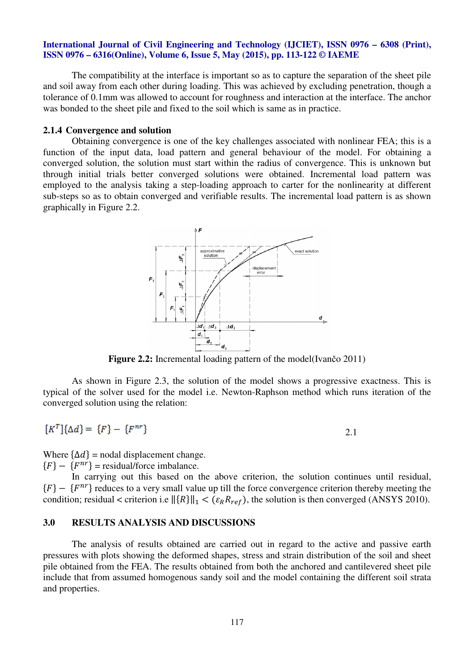The compatibility at the interface is important so as to capture the separation of the sheet pile and soil away from each other during loading. This was achieved by excluding penetration, though a tolerance of 0.1mm was allowed to account for roughness and interaction at the interface. The anchor was bonded to the sheet pile and fixed to the soil which is same as in practice.

#### **2.1.4 Convergence and solution**

Obtaining convergence is one of the key challenges associated with nonlinear FEA; this is a function of the input data, load pattern and general behaviour of the model. For obtaining a converged solution, the solution must start within the radius of convergence. This is unknown but through initial trials better converged solutions were obtained. Incremental load pattern was employed to the analysis taking a step-loading approach to carter for the nonlinearity at different sub-steps so as to obtain converged and verifiable results. The incremental load pattern is as shown graphically in Figure 2.2.



**Figure 2.2:** Incremental loading pattern of the model(Ivančo 2011)

As shown in Figure 2.3, the solution of the model shows a progressive exactness. This is typical of the solver used for the model i.e. Newton-Raphson method which runs iteration of the converged solution using the relation:

$$
[K^T]\{\Delta d\} = \{F\} - \{F^{nr}\}\
$$

2.1

Where  $\{\Delta d\}$  = nodal displacement change.

 ${F} - {F^{nr}}$  = residual/force imbalance.

In carrying out this based on the above criterion, the solution continues until residual,  ${F} - {F^{nr}}$  reduces to a very small value up till the force convergence criterion thereby meeting the condition; residual < criterion i.e  $\|\{R\}\|_1 < (\varepsilon_R R_{ref})$ , the solution is then converged (ANSYS 2010).

#### **3.0 RESULTS ANALYSIS AND DISCUSSIONS**

The analysis of results obtained are carried out in regard to the active and passive earth pressures with plots showing the deformed shapes, stress and strain distribution of the soil and sheet pile obtained from the FEA. The results obtained from both the anchored and cantilevered sheet pile include that from assumed homogenous sandy soil and the model containing the different soil strata and properties.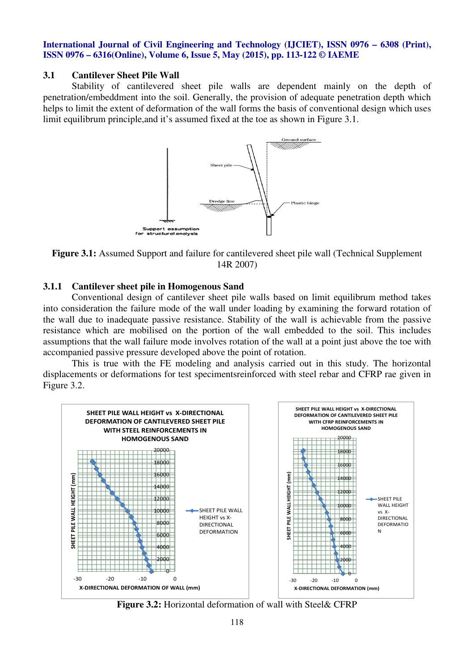#### **3.1 Cantilever Sheet Pile Wall**

Stability of cantilevered sheet pile walls are dependent mainly on the depth of penetration/embeddment into the soil. Generally, the provision of adequate penetration depth which helps to limit the extent of deformation of the wall forms the basis of conventional design which uses limit equilibrum principle,and it's assumed fixed at the toe as shown in Figure 3.1.



**Figure 3.1:** Assumed Support and failure for cantilevered sheet pile wall (Technical Supplement 14R 2007)

#### **3.1.1 Cantilever sheet pile in Homogenous Sand**

Conventional design of cantilever sheet pile walls based on limit equilibrum method takes into consideration the failure mode of the wall under loading by examining the forward rotation of the wall due to inadequate passive resistance. Stability of the wall is achievable from the passive resistance which are mobilised on the portion of the wall embedded to the soil. This includes assumptions that the wall failure mode involves rotation of the wall at a point just above the toe with accompanied passive pressure developed above the point of rotation.

This is true with the FE modeling and analysis carried out in this study. The horizontal displacements or deformations for test specimentsreinforced with steel rebar and CFRP rae given in Figure 3.2.



**Figure 3.2:** Horizontal deformation of wall with Steel& CFRP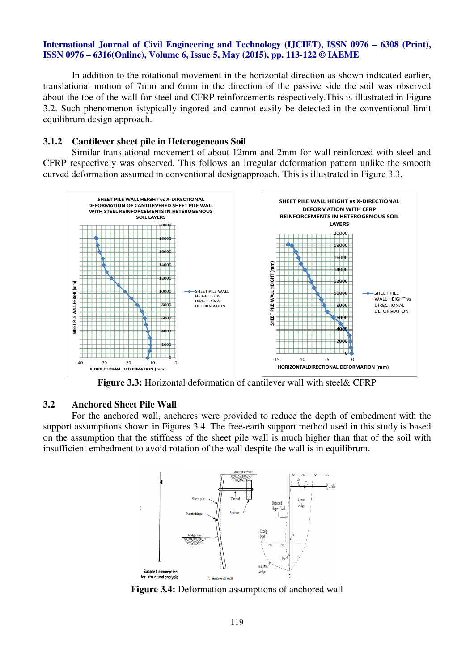In addition to the rotational movement in the horizontal direction as shown indicated earlier, translational motion of 7mm and 6mm in the direction of the passive side the soil was observed about the toe of the wall for steel and CFRP reinforcements respectively.This is illustrated in Figure 3.2. Such phenomenon istypically ingored and cannot easily be detected in the conventional limit equilibrum design approach.

#### **3.1.2 Cantilever sheet pile in Heterogeneous Soil**

Similar translational movement of about 12mm and 2mm for wall reinforced with steel and CFRP respectively was observed. This follows an irregular deformation pattern unlike the smooth curved deformation assumed in conventional designapproach. This is illustrated in Figure 3.3.



**Figure 3.3:** Horizontal deformation of cantilever wall with steel& CFRP

#### **3.2 Anchored Sheet Pile Wall**

For the anchored wall, anchores were provided to reduce the depth of embedment with the support assumptions shown in Figures 3.4. The free-earth support method used in this study is based on the assumption that the stiffness of the sheet pile wall is much higher than that of the soil with insufficient embedment to avoid rotation of the wall despite the wall is in equilibrum.



**Figure 3.4:** Deformation assumptions of anchored wall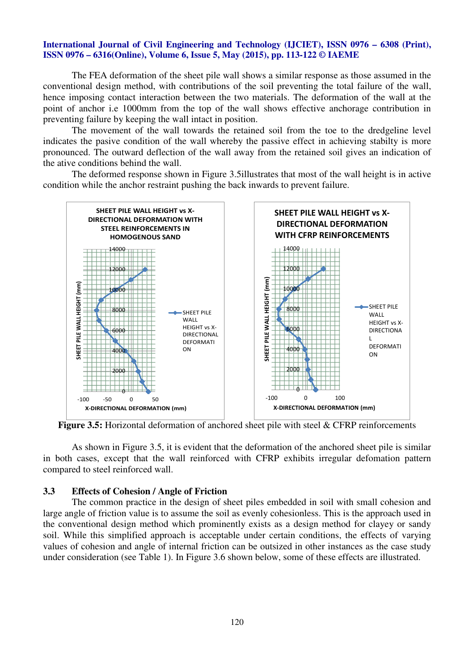The FEA deformation of the sheet pile wall shows a similar response as those assumed in the conventional design method, with contributions of the soil preventing the total failure of the wall, hence imposing contact interaction between the two materials. The deformation of the wall at the point of anchor i.e 1000mm from the top of the wall shows effective anchorage contribution in preventing failure by keeping the wall intact in position.

The movement of the wall towards the retained soil from the toe to the dredgeline level indicates the pasive condition of the wall whereby the passive effect in achieving stabilty is more pronounced. The outward deflection of the wall away from the retained soil gives an indication of the ative conditions behind the wall.

The deformed response shown in Figure 3.5illustrates that most of the wall height is in active condition while the anchor restraint pushing the back inwards to prevent failure.



**Figure 3.5:** Horizontal deformation of anchored sheet pile with steel & CFRP reinforcements

As shown in Figure 3.5, it is evident that the deformation of the anchored sheet pile is similar in both cases, except that the wall reinforced with CFRP exhibits irregular defomation pattern compared to steel reinforced wall.

#### **3.3 Effects of Cohesion / Angle of Friction**

The common practice in the design of sheet piles embedded in soil with small cohesion and large angle of friction value is to assume the soil as evenly cohesionless. This is the approach used in the conventional design method which prominently exists as a design method for clayey or sandy soil. While this simplified approach is acceptable under certain conditions, the effects of varying values of cohesion and angle of internal friction can be outsized in other instances as the case study under consideration (see Table 1). In Figure 3.6 shown below, some of these effects are illustrated.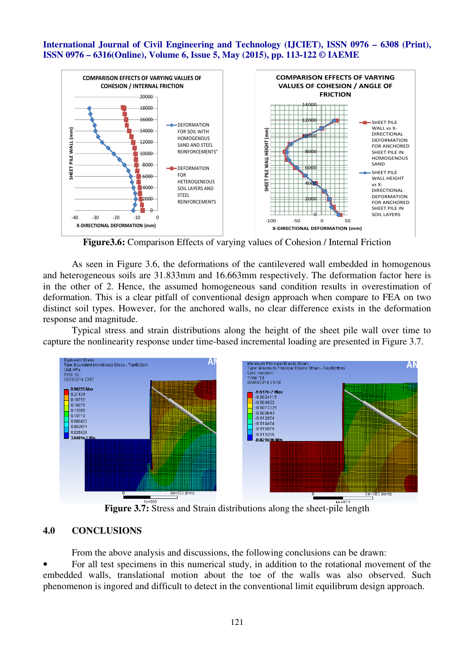

**Figure3.6:** Comparison Effects of varying values of Cohesion / Internal Friction

As seen in Figure 3.6, the deformations of the cantilevered wall embedded in homogenous and heterogeneous soils are 31.833mm and 16.663mm respectively. The deformation factor here is in the other of 2. Hence, the assumed homogeneous sand condition results in overestimation of deformation. This is a clear pitfall of conventional design approach when compare to FEA on two distinct soil types. However, for the anchored walls, no clear difference exists in the deformation response and magnitude.

Typical stress and strain distributions along the height of the sheet pile wall over time to capture the nonlinearity response under time-based incremental loading are presented in Figure 3.7.



**Figure 3.7:** Stress and Strain distributions along the sheet-pile length

#### **4.0 CONCLUSIONS**

From the above analysis and discussions, the following conclusions can be drawn:

• For all test specimens in this numerical study, in addition to the rotational movement of the embedded walls, translational motion about the toe of the walls was also observed. Such phenomenon is ingored and difficult to detect in the conventional limit equilibrum design approach.